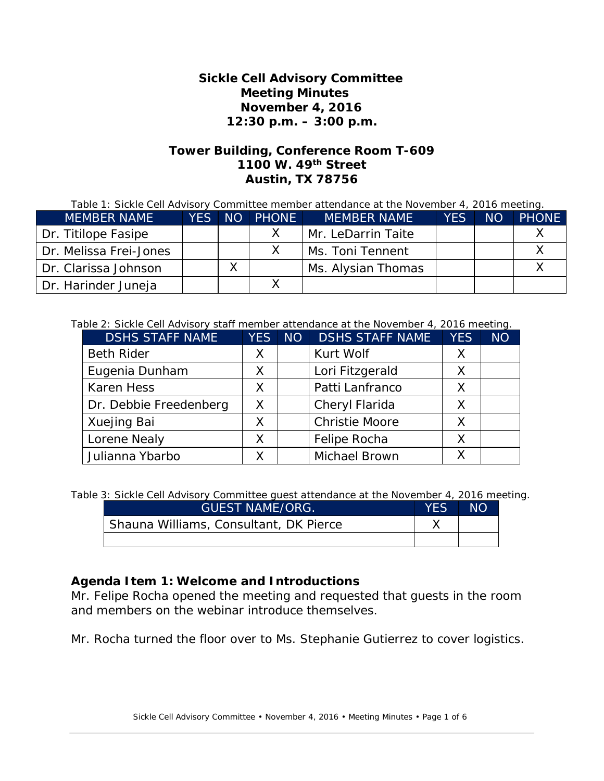#### **Sickle Cell Advisory Committee Meeting Minutes November 4, 2016 12:30 p.m. – 3:00 p.m.**

#### **Tower Building, Conference Room T-609 1100 W. 49th Street Austin, TX 78756**

| Table 1: Sickle Cell Advisory Committee member attendance at the November 4, 2016 meeting. |  |  |
|--------------------------------------------------------------------------------------------|--|--|
|                                                                                            |  |  |

| <b>MEMBER NAME</b>     | <b>YES</b> | NO | <b>PHONE</b> | <b>MEMBER NAME</b> | YFS. | <b>NO</b> | <b>PHONE</b> |
|------------------------|------------|----|--------------|--------------------|------|-----------|--------------|
| Dr. Titilope Fasipe    |            |    |              | Mr. LeDarrin Taite |      |           |              |
| Dr. Melissa Frei-Jones |            |    |              | Ms. Toni Tennent   |      |           |              |
| Dr. Clarissa Johnson   |            |    |              | Ms. Alysian Thomas |      |           |              |
| Dr. Harinder Juneja    |            |    |              |                    |      |           |              |

#### Table 2: Sickle Cell Advisory staff member attendance at the November 4, 2016 meeting.

| <b>DSHS STAFF NAME</b> | <b>YES</b>   | NO <sub>1</sub> | <b>DSHS STAFF NAME</b> | <b>YES</b> | <b>NO</b> |
|------------------------|--------------|-----------------|------------------------|------------|-----------|
| <b>Beth Rider</b>      | X            |                 | Kurt Wolf              | X          |           |
| Eugenia Dunham         | Χ            |                 | Lori Fitzgerald        | X          |           |
| <b>Karen Hess</b>      | $\chi$       |                 | Patti Lanfranco        | X          |           |
| Dr. Debbie Freedenberg | X            |                 | Cheryl Flarida         | $\times$   |           |
| Xuejing Bai            | $\mathsf{X}$ |                 | <b>Christie Moore</b>  | $\times$   |           |
| Lorene Nealy           | X            |                 | Felipe Rocha           | $\times$   |           |
| Julianna Ybarbo        | X            |                 | <b>Michael Brown</b>   | Χ          |           |

Table 3: Sickle Cell Advisory Committee guest attendance at the November 4, 2016 meeting.

| <b>GUEST NAME/ORG.</b>                 | <b>YES</b> | ΝO |
|----------------------------------------|------------|----|
| Shauna Williams, Consultant, DK Pierce |            |    |
|                                        |            |    |

# **Agenda Item 1: Welcome and Introductions**

Mr. Felipe Rocha opened the meeting and requested that guests in the room and members on the webinar introduce themselves.

Mr. Rocha turned the floor over to Ms. Stephanie Gutierrez to cover logistics.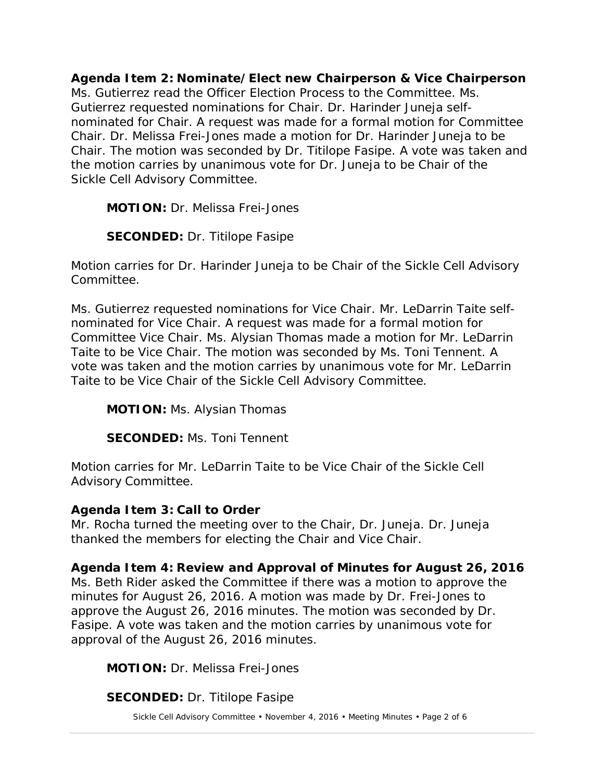**Agenda Item 2: Nominate/Elect new Chairperson & Vice Chairperson** Ms. Gutierrez read the Officer Election Process to the Committee. Ms. Gutierrez requested nominations for Chair. Dr. Harinder Juneja selfnominated for Chair. A request was made for a formal motion for Committee Chair. Dr. Melissa Frei-Jones made a motion for Dr. Harinder Juneja to be Chair. The motion was seconded by Dr. Titilope Fasipe. A vote was taken and the motion carries by unanimous vote for Dr. Juneja to be Chair of the Sickle Cell Advisory Committee.

**MOTION:** Dr. Melissa Frei-Jones

**SECONDED:** Dr. Titilope Fasipe

Motion carries for Dr. Harinder Juneja to be Chair of the Sickle Cell Advisory Committee.

Ms. Gutierrez requested nominations for Vice Chair. Mr. LeDarrin Taite selfnominated for Vice Chair. A request was made for a formal motion for Committee Vice Chair. Ms. Alysian Thomas made a motion for Mr. LeDarrin Taite to be Vice Chair. The motion was seconded by Ms. Toni Tennent. A vote was taken and the motion carries by unanimous vote for Mr. LeDarrin Taite to be Vice Chair of the Sickle Cell Advisory Committee.

**MOTION:** Ms. Alysian Thomas

**SECONDED:** Ms. Toni Tennent

Motion carries for Mr. LeDarrin Taite to be Vice Chair of the Sickle Cell Advisory Committee.

# **Agenda Item 3: Call to Order**

Mr. Rocha turned the meeting over to the Chair, Dr. Juneja. Dr. Juneja thanked the members for electing the Chair and Vice Chair.

# **Agenda Item 4: Review and Approval of Minutes for August 26, 2016**

Ms. Beth Rider asked the Committee if there was a motion to approve the minutes for August 26, 2016. A motion was made by Dr. Frei-Jones to approve the August 26, 2016 minutes. The motion was seconded by Dr. Fasipe. A vote was taken and the motion carries by unanimous vote for approval of the August 26, 2016 minutes.

**MOTION:** Dr. Melissa Frei-Jones

**SECONDED:** Dr. Titilope Fasipe

Sickle Cell Advisory Committee • November 4, 2016 • Meeting Minutes • Page 2 of 6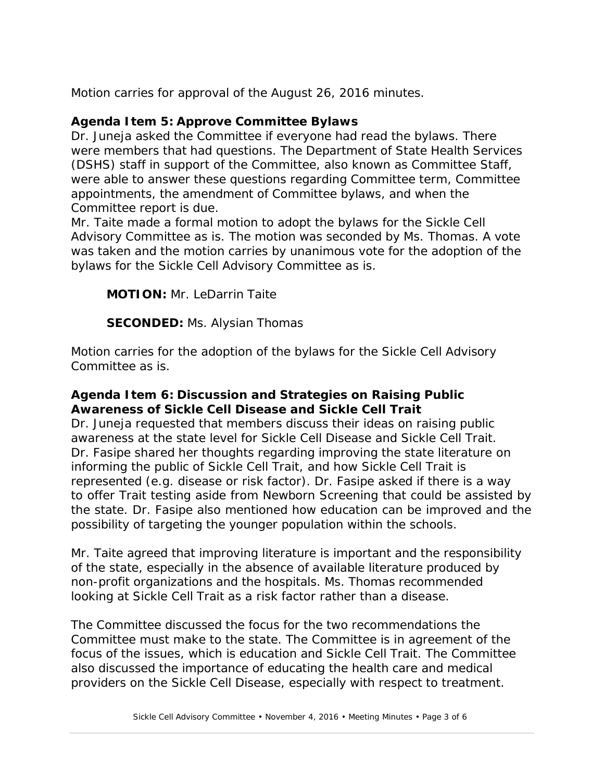Motion carries for approval of the August 26, 2016 minutes.

# **Agenda Item 5: Approve Committee Bylaws**

Dr. Juneja asked the Committee if everyone had read the bylaws. There were members that had questions. The Department of State Health Services (DSHS) staff in support of the Committee, also known as Committee Staff, were able to answer these questions regarding Committee term, Committee appointments, the amendment of Committee bylaws, and when the Committee report is due.

Mr. Taite made a formal motion to adopt the bylaws for the Sickle Cell Advisory Committee as is. The motion was seconded by Ms. Thomas. A vote was taken and the motion carries by unanimous vote for the adoption of the bylaws for the Sickle Cell Advisory Committee as is.

**MOTION:** Mr. LeDarrin Taite

**SECONDED:** Ms. Alysian Thomas

Motion carries for the adoption of the bylaws for the Sickle Cell Advisory Committee as is.

# **Agenda Item 6: Discussion and Strategies on Raising Public Awareness of Sickle Cell Disease and Sickle Cell Trait**

Dr. Juneja requested that members discuss their ideas on raising public awareness at the state level for Sickle Cell Disease and Sickle Cell Trait. Dr. Fasipe shared her thoughts regarding improving the state literature on informing the public of Sickle Cell Trait, and how Sickle Cell Trait is represented (e.g. disease or risk factor). Dr. Fasipe asked if there is a way to offer Trait testing aside from Newborn Screening that could be assisted by the state. Dr. Fasipe also mentioned how education can be improved and the possibility of targeting the younger population within the schools.

Mr. Taite agreed that improving literature is important and the responsibility of the state, especially in the absence of available literature produced by non-profit organizations and the hospitals. Ms. Thomas recommended looking at Sickle Cell Trait as a risk factor rather than a disease.

The Committee discussed the focus for the two recommendations the Committee must make to the state. The Committee is in agreement of the focus of the issues, which is education and Sickle Cell Trait. The Committee also discussed the importance of educating the health care and medical providers on the Sickle Cell Disease, especially with respect to treatment.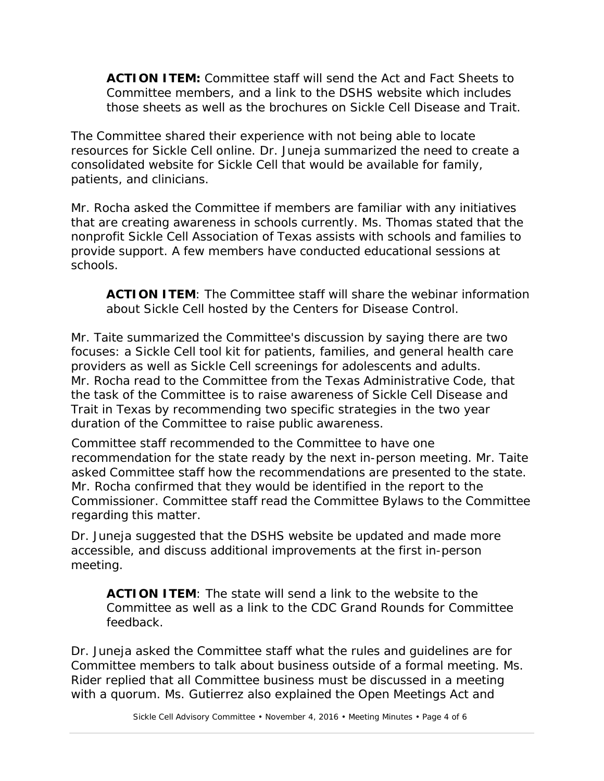**ACTION ITEM:** Committee staff will send the Act and Fact Sheets to Committee members, and a link to the DSHS website which includes those sheets as well as the brochures on Sickle Cell Disease and Trait.

The Committee shared their experience with not being able to locate resources for Sickle Cell online. Dr. Juneja summarized the need to create a consolidated website for Sickle Cell that would be available for family, patients, and clinicians.

Mr. Rocha asked the Committee if members are familiar with any initiatives that are creating awareness in schools currently. Ms. Thomas stated that the nonprofit Sickle Cell Association of Texas assists with schools and families to provide support. A few members have conducted educational sessions at schools.

**ACTION ITEM**: The Committee staff will share the webinar information about Sickle Cell hosted by the Centers for Disease Control.

Mr. Taite summarized the Committee's discussion by saying there are two focuses: a Sickle Cell tool kit for patients, families, and general health care providers as well as Sickle Cell screenings for adolescents and adults. Mr. Rocha read to the Committee from the Texas Administrative Code, that the task of the Committee is to raise awareness of Sickle Cell Disease and Trait in Texas by recommending two specific strategies in the two year duration of the Committee to raise public awareness.

Committee staff recommended to the Committee to have one recommendation for the state ready by the next in-person meeting. Mr. Taite asked Committee staff how the recommendations are presented to the state. Mr. Rocha confirmed that they would be identified in the report to the Commissioner. Committee staff read the Committee Bylaws to the Committee regarding this matter.

Dr. Juneja suggested that the DSHS website be updated and made more accessible, and discuss additional improvements at the first in-person meeting.

**ACTION ITEM**: The state will send a link to the website to the Committee as well as a link to the CDC Grand Rounds for Committee feedback.

Dr. Juneja asked the Committee staff what the rules and guidelines are for Committee members to talk about business outside of a formal meeting. Ms. Rider replied that all Committee business must be discussed in a meeting with a quorum. Ms. Gutierrez also explained the Open Meetings Act and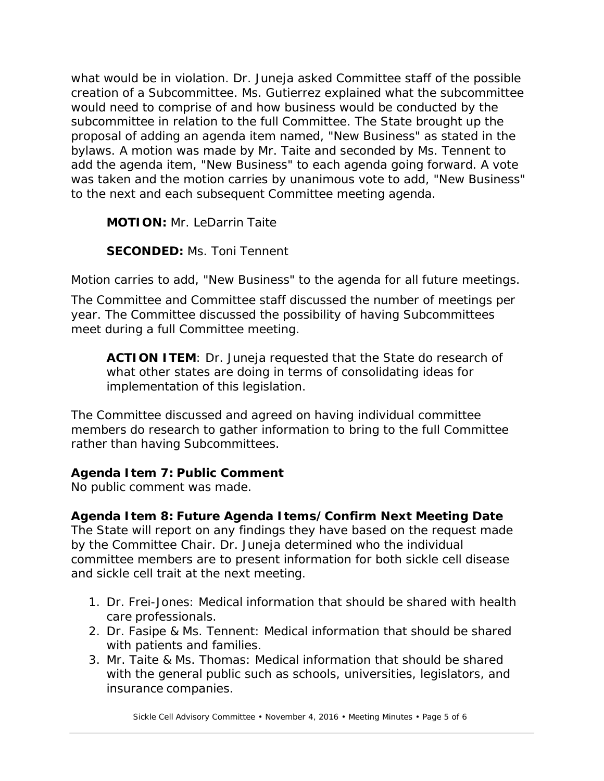what would be in violation. Dr. Juneja asked Committee staff of the possible creation of a Subcommittee. Ms. Gutierrez explained what the subcommittee would need to comprise of and how business would be conducted by the subcommittee in relation to the full Committee. The State brought up the proposal of adding an agenda item named, "New Business" as stated in the bylaws. A motion was made by Mr. Taite and seconded by Ms. Tennent to add the agenda item, "New Business" to each agenda going forward. A vote was taken and the motion carries by unanimous vote to add, "New Business" to the next and each subsequent Committee meeting agenda.

**MOTION:** Mr. LeDarrin Taite

**SECONDED:** Ms. Toni Tennent

Motion carries to add, "New Business" to the agenda for all future meetings.

The Committee and Committee staff discussed the number of meetings per year. The Committee discussed the possibility of having Subcommittees meet during a full Committee meeting.

**ACTION ITEM**: Dr. Juneja requested that the State do research of what other states are doing in terms of consolidating ideas for implementation of this legislation.

The Committee discussed and agreed on having individual committee members do research to gather information to bring to the full Committee rather than having Subcommittees.

# **Agenda Item 7: Public Comment**

No public comment was made.

# **Agenda Item 8: Future Agenda Items/Confirm Next Meeting Date**

The State will report on any findings they have based on the request made by the Committee Chair. Dr. Juneja determined who the individual committee members are to present information for both sickle cell disease and sickle cell trait at the next meeting.

- 1. Dr. Frei-Jones: Medical information that should be shared with health care professionals.
- 2. Dr. Fasipe & Ms. Tennent: Medical information that should be shared with patients and families.
- 3. Mr. Taite & Ms. Thomas: Medical information that should be shared with the general public such as schools, universities, legislators, and insurance companies.